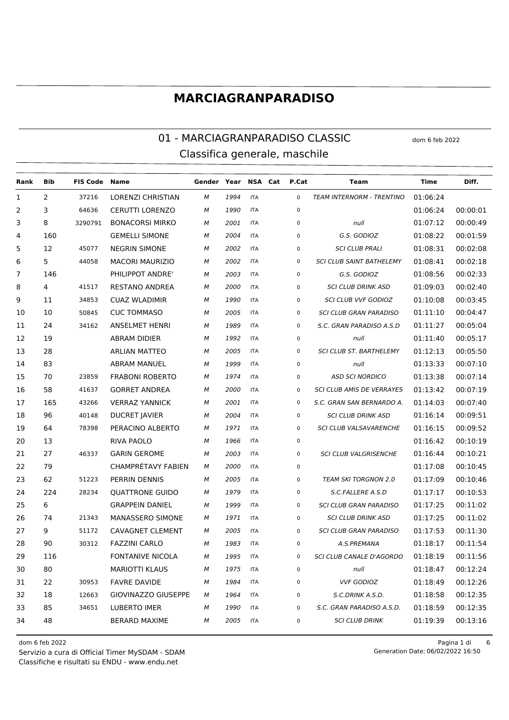#### 01 - MARCIAGRANPARADISO CLASSIC dom 6 feb 2022 Classifica generale, maschile

| Rank | Bib | <b>FIS Code Name</b> |                         | Gender Year NSA Cat P.Cat |      |            |             | Team                             | Time     | Diff.    |
|------|-----|----------------------|-------------------------|---------------------------|------|------------|-------------|----------------------------------|----------|----------|
| 1    | 2   | 37216                | LORENZI CHRISTIAN       | м                         | 1994 | <b>ITA</b> | $\mathbf 0$ | <b>TEAM INTERNORM - TRENTINO</b> | 01:06:24 |          |
| 2    | 3   | 64636                | <b>CERUTTI LORENZO</b>  | м                         | 1990 | <b>ITA</b> | $\mathbf 0$ |                                  | 01:06:24 | 00:00:01 |
| 3    | 8   | 3290791              | <b>BONACORSI MIRKO</b>  | м                         | 2001 | <b>ITA</b> | 0           | null                             | 01:07:12 | 00:00:49 |
| 4    | 160 |                      | <b>GEMELLI SIMONE</b>   | М                         | 2004 | <b>ITA</b> | 0           | G.S. GODIOZ                      | 01:08:22 | 00:01:59 |
| 5    | 12  | 45077                | <b>NEGRIN SIMONE</b>    | М                         | 2002 | <b>ITA</b> | 0           | <b>SCI CLUB PRALI</b>            | 01:08:31 | 00:02:08 |
| 6    | 5   | 44058                | <b>MACORI MAURIZIO</b>  | м                         | 2002 | <b>ITA</b> | 0           | <b>SCI CLUB SAINT BATHELEMY</b>  | 01:08:41 | 00:02:18 |
| 7    | 146 |                      | PHILIPPOT ANDRE'        | м                         | 2003 | <b>ITA</b> | 0           | G.S. GODIOZ                      | 01:08:56 | 00:02:33 |
| 8    | 4   | 41517                | <b>RESTANO ANDREA</b>   | М                         | 2000 | <b>ITA</b> | 0           | <b>SCI CLUB DRINK ASD</b>        | 01:09:03 | 00:02:40 |
| 9    | 11  | 34853                | <b>CUAZ WLADIMIR</b>    | м                         | 1990 | <b>ITA</b> | 0           | <b>SCI CLUB VVF GODIOZ</b>       | 01:10:08 | 00:03:45 |
| 10   | 10  | 50845                | <b>CUC TOMMASO</b>      | м                         | 2005 | <b>ITA</b> | 0           | <b>SCI CLUB GRAN PARADISO</b>    | 01:11:10 | 00:04:47 |
| 11   | 24  | 34162                | <b>ANSELMET HENRI</b>   | м                         | 1989 | <b>ITA</b> | 0           | S.C. GRAN PARADISO A.S.D         | 01:11:27 | 00:05:04 |
| 12   | 19  |                      | <b>ABRAM DIDIER</b>     | м                         | 1992 | <b>ITA</b> | 0           | null                             | 01:11:40 | 00:05:17 |
| 13   | 28  |                      | <b>ARLIAN MATTEO</b>    | М                         | 2005 | <b>ITA</b> | 0           | <b>SCI CLUB ST. BARTHELEMY</b>   | 01:12:13 | 00:05:50 |
| 14   | 83  |                      | <b>ABRAM MANUEL</b>     | М                         | 1999 | <b>ITA</b> | $\mathbf 0$ | null                             | 01:13:33 | 00:07:10 |
| 15   | 70  | 23859                | <b>FRABONI ROBERTO</b>  | м                         | 1974 | <b>ITA</b> | 0           | <b>ASD SCI NORDICO</b>           | 01:13:38 | 00:07:14 |
| 16   | 58  | 41637                | <b>GORRET ANDREA</b>    | М                         | 2000 | <b>ITA</b> | 0           | <b>SCI CLUB AMIS DE VERRAYES</b> | 01:13:42 | 00:07:19 |
| 17   | 165 | 43266                | <b>VERRAZ YANNICK</b>   | м                         | 2001 | <b>ITA</b> | 0           | S.C. GRAN SAN BERNARDO A.        | 01:14:03 | 00:07:40 |
| 18   | 96  | 40148                | <b>DUCRET JAVIER</b>    | М                         | 2004 | <b>ITA</b> | 0           | <b>SCI CLUB DRINK ASD</b>        | 01:16:14 | 00:09:51 |
| 19   | 64  | 78398                | PERACINO ALBERTO        | М                         | 1971 | <b>ITA</b> | 0           | SCI CLUB VALSAVARENCHE           | 01:16:15 | 00:09:52 |
| 20   | 13  |                      | <b>RIVA PAOLO</b>       | М                         | 1966 | <b>ITA</b> | 0           |                                  | 01:16:42 | 00:10:19 |
| 21   | 27  | 46337                | <b>GARIN GEROME</b>     | М                         | 2003 | <b>ITA</b> | 0           | <b>SCI CLUB VALGRISENCHE</b>     | 01:16:44 | 00:10:21 |
| 22   | 79  |                      | CHAMPRÉTAVY FABIEN      | м                         | 2000 | <b>ITA</b> | 0           |                                  | 01:17:08 | 00:10:45 |
| 23   | 62  | 51223                | PERRIN DENNIS           | М                         | 2005 | <b>ITA</b> | 0           | <b>TEAM SKI TORGNON 2.0</b>      | 01:17:09 | 00:10:46 |
| 24   | 224 | 28234                | <b>QUATTRONE GUIDO</b>  | М                         | 1979 | <b>ITA</b> | 0           | S.C.FALLERE A.S.D                | 01:17:17 | 00:10:53 |
| 25   | 6   |                      | <b>GRAPPEIN DANIEL</b>  | м                         | 1999 | <b>ITA</b> | 0           | <b>SCI CLUB GRAN PARADISO</b>    | 01:17:25 | 00:11:02 |
| 26   | 74  | 21343                | MANASSERO SIMONE        | М                         | 1971 | <b>ITA</b> | 0           | <b>SCI CLUB DRINK ASD</b>        | 01:17:25 | 00:11:02 |
| 27   | 9   | 51172                | <b>CAVAGNET CLEMENT</b> | М                         | 2005 | <b>ITA</b> | 0           | <b>SCI CLUB GRAN PARADISO</b>    | 01:17:53 | 00:11:30 |
| 28   | 90  | 30312                | <b>FAZZINI CARLO</b>    | м                         | 1983 | <b>ITA</b> | 0           | A.S.PREMANA                      | 01:18:17 | 00:11:54 |
| 29   | 116 |                      | <b>FONTANIVE NICOLA</b> | M                         | 1995 | ITA        | 0           | SCI CLUB CANALE D'AGORDO         | 01:18:19 | 00:11:56 |
| 30   | 80  |                      | <b>MARIOTTI KLAUS</b>   | М                         | 1975 | <b>ITA</b> | $\mathbf 0$ | null                             | 01:18:47 | 00:12:24 |
| 31   | 22  | 30953                | <b>FAVRE DAVIDE</b>     | М                         | 1984 | <b>ITA</b> | 0           | <b>VVF GODIOZ</b>                | 01:18:49 | 00:12:26 |
| 32   | 18  | 12663                | GIOVINAZZO GIUSEPPE     | м                         | 1964 | <b>ITA</b> | 0           | S.C.DRINK A.S.D.                 | 01:18:58 | 00:12:35 |
| 33   | 85  | 34651                | <b>LUBERTO IMER</b>     | М                         | 1990 | <b>ITA</b> | 0           | S.C. GRAN PARADISO A.S.D.        | 01:18:59 | 00:12:35 |
| 34   | 48  |                      | <b>BERARD MAXIME</b>    | М                         | 2005 | <b>ITA</b> | 0           | <b>SCI CLUB DRINK</b>            | 01:19:39 | 00:13:16 |

Classifiche e risultati su ENDU - www.endu.net Servizio a cura di Official Timer MySDAM - SDAM 06/02/2022 16:50

dom 6 feb 2022 Pagina 1 di 6 Generation Date: 06/02/2022 16:50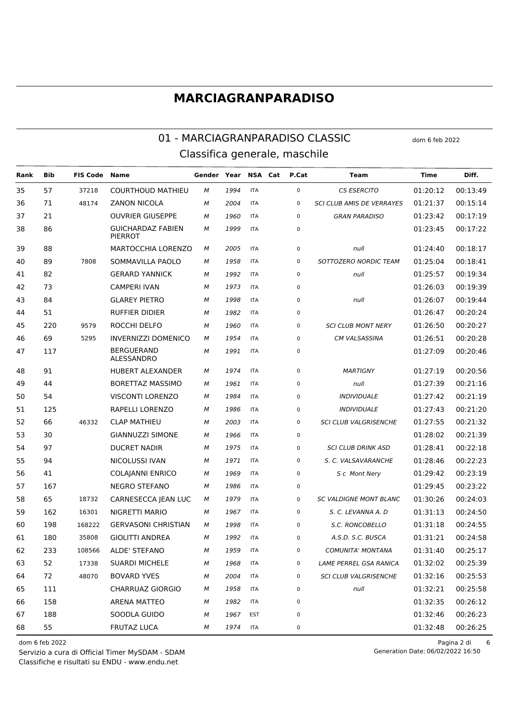#### 01 - MARCIAGRANPARADISO CLASSIC dom 6 feb 2022 Classifica generale, maschile

**Rank Bib FIS Code Name Gender Year NSA Cat P.Cat Team Time Diff.** 57 37218 COURTHOUD MATHIEU *M 1994* ITA 0 *CS ESERCITO* 01:20:12 00:13:49 71 48174 ZANON NICOLA *M 2004* ITA 0 *SCI CLUB AMIS DE VERRAYES* 01:21:37 00:15:14 21 OUVRIER GIUSEPPE *M 1960* ITA 0 *GRAN PARADISO* 01:23:42 00:17:19 GUICHARDAZ FABIEN *M 1999* ITA 0 01:23:45 00:17:22 PIERROT 88 MARTOCCHIA LORENZO *M 2005* ITA 0 *null* 01:24:40 00:18:17 89 7808 SOMMAVILLA PAOLO *M 1958* ITA 0 *SOTTOZERO NORDIC TEAM* 01:25:04 00:18:41 82 GERARD YANNICK *M 1992* ITA 0 *null* 01:25:57 00:19:34 73 CAMPERI IVAN *M 1973* ITA 0 01:26:03 00:19:39 84 GLAREY PIETRO *M 1998* ITA 0 *null* 01:26:07 00:19:44 51 RUFFIER DIDIER *M 1982* ITA 0 01:26:47 00:20:24 220 9579 ROCCHI DELFO *M 1960* ITA 0 *SCI CLUB MONT NERY* 01:26:50 00:20:27 69 5295 INVERNIZZI DOMENICO *M 1954* ITA 0 *CM VALSASSINA* 01:26:51 00:20:28 BERGUERAND ALESSANDRO *M 1991* ITA 0 01:27:09 00:20:46 91 HUBERT ALEXANDER *M 1974* ITA 0 *MARTIGNY* 01:27:19 00:20:56 44 BORETTAZ MASSIMO *M 1961* ITA 0 *null* 01:27:39 00:21:16 54 VISCONTI LORENZO *M 1984* ITA 0 *INDIVIDUALE* 01:27:42 00:21:19 125 RAPELLI LORENZO *M 1986* ITA 0 *INDIVIDUALE* 01:27:43 00:21:20 66 46332 CLAP MATHIEU *M 2003* ITA 0 *SCI CLUB VALGRISENCHE* 01:27:55 00:21:32 30 GIANNUZZI SIMONE *M 1966* ITA 0 01:28:02 00:21:39 97 DUCRET NADIR *M 1975* ITA 0 *SCI CLUB DRINK ASD* 01:28:41 00:22:18 94 NICOLUSSI IVAN *M 1971* ITA 0 *S. C. VALSAVARANCHE* 01:28:46 00:22:23 41 COLAJANNI ENRICO *M 1969* ITA 0 *S c Mont Nery* 01:29:42 00:23:19 167 NEGRO STEFANO *M 1986* ITA 0 01:29:45 00:23:22 65 18732 CARNESECCA JEAN LUC *M 1979* ITA 0 *SC VALDIGNE MONT BLANC* 01:30:26 00:24:03 162 16301 NIGRETTI MARIO *M 1967* ITA 0 *S. C. LEVANNA A. D* 01:31:13 00:24:50 198 168222 GERVASONI CHRISTIAN *M 1998* ITA 0 *S.C. RONCOBELLO* 01:31:18 00:24:55 180 35808 GIOLITTI ANDREA *M 1992* ITA 0 *A.S.D. S.C. BUSCA* 01:31:21 00:24:58 233 108566 ALDE' STEFANO *M 1959* ITA 0 *COMUNITA' MONTANA* 01:31:40 00:25:17 52 17338 SUARDI MICHELE *M 1968* ITA 0 *LAME PERREL GSA RANICA* 01:32:02 00:25:39 72 48070 BOVARD YVES *M 2004* ITA 0 *SCI CLUB VALGRISENCHE* 01:32:16 00:25:53 111 CHARRUAZ GIORGIO *M 1958* ITA 0 *null* 01:32:21 00:25:58 158 ARENA MATTEO *M 1982* ITA 0 01:32:35 00:26:12 188 SOODLA GUIDO *M 1967* EST 0 01:32:46 00:26:23 55 FRUTAZ LUCA *M 1974* ITA 0 01:32:48 00:26:25

Classifiche e risultati su ENDU - www.endu.net Servizio a cura di Official Timer MySDAM - SDAM

dom 6 feb 2022 Pagina 2 di 6 Generation Date: 06/02/2022 16:50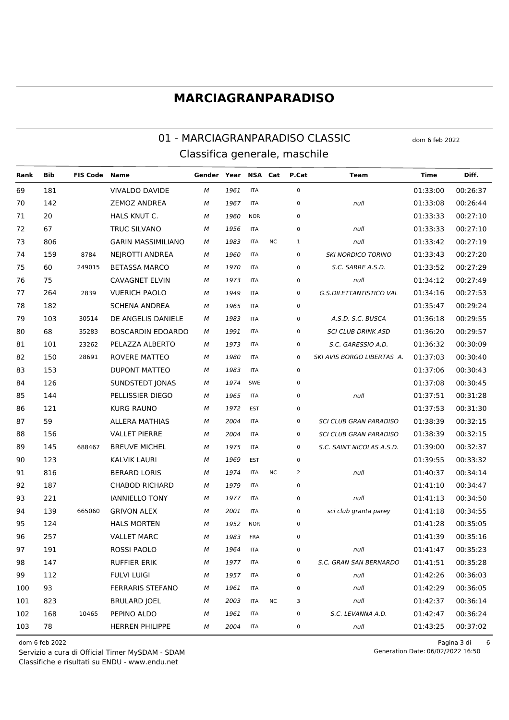#### 01 - MARCIAGRANPARADISO CLASSIC Classifica generale, maschile

**Bib FIS Code Name** Gender Year NSA Cat P.Cat Diff. Rank **Team Time** 69 181 **VIVALDO DAVIDE ITA**  $\mathbf 0$ 01:33:00 00:26:37 M 1961 70  $142$ **ZEMOZ ANDREA** 01:33:08 00:26:44 M 1967 **ITA**  $\Omega$ null 20 HALS KNUT C. 01:33:33  $00:27:10$ 71 M 1960 **NOR**  $\Omega$ **TRUC SILVANO**  $72$ 67 **ITA**  $\Omega$  $01.33.33$  $00:27:10$ M 1956 null 806 **GARIN MASSIMILIANO** 01:33:42  $73$  ${\cal M}$ 1983 **ITA**  $N \cap$  $\mathbf{1}$ null  $00.27.19$ 159 **NEJROTTI ANDREA** 74 8784 M 1960 **ITA**  $\Omega$ **SKI NORDICO TORINO** 01:33:43 00:27:20 75 60 249015 **RETASSA MARCO ITA**  $01.33.52$ 00:27:29 1970  $\Omega$ S.C. SARRE A.S.D. M 75 76 **CAVAGNET ELVIN** M 1973 **ITA**  $\Omega$ 01:34:12 00:27:49 null **VUERICH PAOLO** 77 264 2839 M 1949 **ITA**  $\Omega$ G.S.DILETTANTISTICO VAL 01:34:16 00:27:53 **SCHENA ANDREA** 78 182 **ITA**  $\Omega$  $01.35.47$ 00:29:24 M 1965 103 79 30514 DE ANGELIS DANIELE M 1983 **ITA**  $\Omega$ A.S.D. S.C. BUSCA 01:36:18 00:29:55 80 68 35283 **BOSCARDIN EDOARDO** 1991 **ITA**  $\overline{0}$ **SCI CLUB DRINK ASD** 01:36:20 00:29:57 M 81  $101$ PELAZZA ALBERTO 01:36:32 00:30:09 23262 **ITA**  $\Omega$ S.C. GARESSIO A.D. M 1073 82 150 28691 **ROVERE MATTEO** M 1980 **ITA**  $\Omega$ SKI AVIS BORGO LIBERTAS A. 01:37:03 00:30:40 **DUPONT MATTEO** 83 153 1983 **ITA**  $\Omega$ 01:37:06 00:30:43 M 126 **SUNDSTEDT JONAS** 01:37:08 00:30:45  $84$ SWE  $\Omega$ M 1974 85 144 PELLISSIER DIEGO M 1965 **ITA**  $\Omega$  $null$ 01:37:51 00:31:28 86 121 **KURG RAUNO** 1972 EST  $\Omega$ 01:37:53 00:31:30 M 59 00:32:15 **ALLERA MATHIAS**  $87$ **ITA**  $\Omega$ SCLCLUB GRAN PARADISO  $01.38.39$ M 2004 88 156 **VALLET PIERRE** 2004 **ITA**  $\Omega$ **SCI CLUB GRAN PARADISO** 01:38:39 00:32:15 M 89 145 688467 **BREUVE MICHEL** 1975 **ITA**  $\Omega$ S.C. SAINT NICOLAS A.S.D. 01:39:00 00:32:37 M **KALVIK LAURI**  $Q<sub>0</sub>$  $123$  $01.39.55$ 00:33:32 M 1969 EST  $\Omega$ 91 816 **BERARD LORIS ITA**  $NC$  $\overline{\phantom{a}}$ 01:40:37 00:34:14 M 1974  $null$ 92 187 **CHAROD RICHARD**  $\mathbf{0}$  $01:41:10$  $00:34:47$ 1979 **ITA** M **IANNIFIIO TONY**  $93$ 221 M 1977 **ITA**  $\Omega$ null 01:41:13 00:34:50 94 139 665060 **GRIVON ALEX** 2001 **ITA**  $\overline{0}$ 01:41:18 00:34:55 M sci club granta parey 95 124 **HAI S MORTEN NOR**  $\mathbf{0}$  $01:41:28$  $00:35:05$ 1952 M 96 257 **VALLET MARC** 01:41:39 00:35:16 M 1983 **FRA**  $\Omega$ 97 191 **ROSSI PAOLO ITA**  $\mathbf{0}$  $01:41:47$ 00:35:23 M 1964 null 98 147 **RUFFIFR FRIK**  $01:41:51$ 00:35:28 1977 **ITA**  $\Omega$ **S.C. GRAN SAN BERNARDO** M 112 **FULVI LUIGI** 01:42:26 00:36:03 **QQ** M 1957 **ITA**  $\Omega$ null 100 93 **FERRARIS STEFANO**  $\mathbf{0}$  $01:42:29$  $00:36:05$ M 1961 **ITA** null 101 **BRULARD IOEL**  $00:36:14$ 823  $01.42.37$ M  $2003$ **ITA**  $NC$  $\overline{3}$  $null$ 102 168 PEPINO ALDO 01:42:47 00:36:24 10465 M 1961 **ITA**  $\Omega$ S.C. LEVANNA A.D.  $103$ 78 **HERREN PHILIPPE** 00:37:02  $\overline{M}$ 2004 **ITA**  $\Omega$ null 01:43:25

dom 6 feb 2022

Servizio a cura di Official Timer MySDAM - SDAM Classifiche e risultati su ENDU - www.endu.net

Pagina 3 di  $6\phantom{1}$ Generation Date: 06/02/2022 16:50

dom 6 feb 2022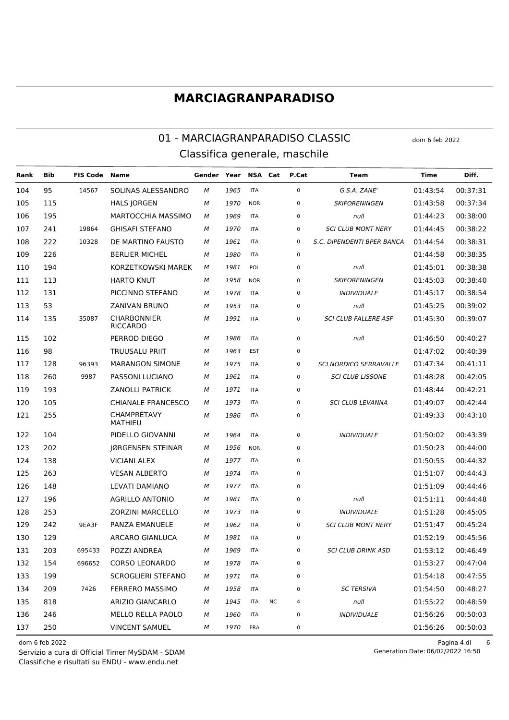#### 01 - MARCIAGRANPARADISO CLASSIC Classifica generale, maschile

**FIS Code** Gender Year NSA Cat P.Cat Diff. Rank **Bib Name Team Time** 00:37:31  $104$ 95 14567 SOLINAS ALESSANDRO **ITA**  $\Omega$ 01:43:54 1965  $G.S.A. ZANF'$ M **HALS JORGEN** 105 115  ${\cal M}$ 1970 **NOR**  $\Omega$ **SKIFORFNINGFN**  $01.43.58$  $00.37.34$ 195 MARTOCCHIA MASSIMO 01:44:23 00:38:00 106 M 1969 **ITA**  $\Omega$  $null$ 107 241 19864 **GHISAFI STEFANO ITA**  $\Omega$ **SCLCLUB MONT NERY**  $01.44.45$ 00:38:22 M 1970 108  $222$ 10328 DE MARTINO FAUSTO M 1961 **ITA**  $\Omega$ S.C. DIPENDENTI BPER BANCA 01:44:54 00:38:31  $\mathbf 0$ 109  $226$ **BERLIER MICHEL** 1980 **ITA** 01:44:58 00:38:35 M **KORZETKOWSKI MAREK**  $110$ 194 POL  $\Omega$  $01.45.01$ 00:38:38 1981 M null 111 113 **HARTO KNUT** M 1958 **NOR**  $\Omega$ **SKIFORENINGEN** 01:45:03 00:38:40 112 131 PICCINNO STEFANO M 1978 **ITA**  $\Omega$ **INDIVIDUALE** 01:45:17 00:38:54  $113$ 53 **ZANIVAN BRUNO**  $\Omega$ 01:45:25 **ITA** 00:39:02 M 1953 null CHARRONNIER 114 135 35087 M 1991 **ITA**  $\Omega$ **SCI CLUB FALLERE ASF** 01:45:30 00:39:07 **RICCARDO**  $\overline{M}$ 1986 115 102 PERROD DIEGO **ITA**  $\Omega$  $null$ 01:46:50 00:40:27 1963 98 TRUUSALU PRIIT M EST  $01:47:02$  $00:40:39$ 116  $\mathbf 0$ SCLNORDICO SERRAVALLE 01:47:34 117 128 96393 **MARANGON SIMONE** M 1975 **ITA**  $\Omega$ 00:41:11 9987 1961 **SCI CLUB LISSONE** 118 260 PASSONI LUCIANO M **ITA**  $\Omega$ 01:48:28 00:42:05 1971 193 **ZANOLLI PATRICK** M  $01.48.44$  $00.42.21$ 119 **ITA**  $\Omega$ 120 105 **CHIANALE FRANCESCO** M 1073 **ITA**  $\Omega$ **SCLCLUB LEVANNA** 01:49:07 00:42:44 CHAMPRÉTAVY 1986 121 255 M **ITA**  $\overline{0}$ 01:49:33 00:43:10 **MATHIEU** 1964 **INDIVIDUALE** 122 104 PIDELLO GIOVANNI M **ITA**  $\mathbf 0$  $01:50:02$  $00:43:39$ 123 202 JØRGENSEN STEINAR M 1956 **NOR**  $\Omega$  $01:50:23$ 00:44:00 124 138 **VICIANI ALEX** M 1977 **ITA**  $\mathbf 0$ 01:50:55 00:44:32 125 263 **VESAN ALBERTO** M 1974 **ITA**  $\mathbf 0$ 01:51:07 00:44:43 126 148 LEVATI DAMIANO M 1977 **ITA**  $\mathbf 0$ 01:51:09 00:44:46 1981 127 196 **AGRILLO ANTONIO** M **ITA**  $\overline{0}$  $null$ 01:51:11 00:44:48 **INDIVIDUALE** 128 253 **ZORZINI MARCELLO** M 1973 **ITA**  $\mathbf 0$ 01:51:28 00:45:05 129 242 9EA3F PANZA EMANUELE M 1962 **ITA**  $\mathbf 0$ **SCI CLUB MONT NERY** 01:51:47 00:45:24 1981 130 129 ARCARO GIANLUCA M **ITA**  $\mathbf{0}$ 01:52:19 00:45:56 695433 **SCI CLUB DRINK ASD** 131 203 **POZZI ANDREA** M 1969 **ITA**  $\Omega$ 01:53:12  $00:46:49$ 132 154 696652 CORSO LEONARDO M 1978 **ITA**  $\mathbf 0$ 01:53:27 00:47:04 133 199 **SCROGLIERI STEFANO** M 1971 **ITA**  $\mathbf 0$ 01:54:18 00:47:55 7426 134 209 **FERRERO MASSIMO** M 1958  $\Omega$ **SC TERSIVA** 01:54:50 00:48:27 **ITA** 135 818 ARIZIO GIANCARLO M 1945 **ITA NC**  $\overline{4}$  $null$ 01:55:22 00:48:59 **INDIVIDUALE** 136 246 **MELLO RELLA PAOLO** M 1960 **ITA**  $\mathbf 0$ 01:56:26 00:50:03 137 250 **VINCENT SAMUEL** M 1970 **FRA**  $\Omega$ 01:56:26 00:50:03

dom 6 feb 2022

Servizio a cura di Official Timer MySDAM - SDAM Classifiche e risultati su ENDU - www.endu.net

Pagina 4 di  $\boldsymbol{6}$ Generation Date: 06/02/2022 16:50

dom 6 feb 2022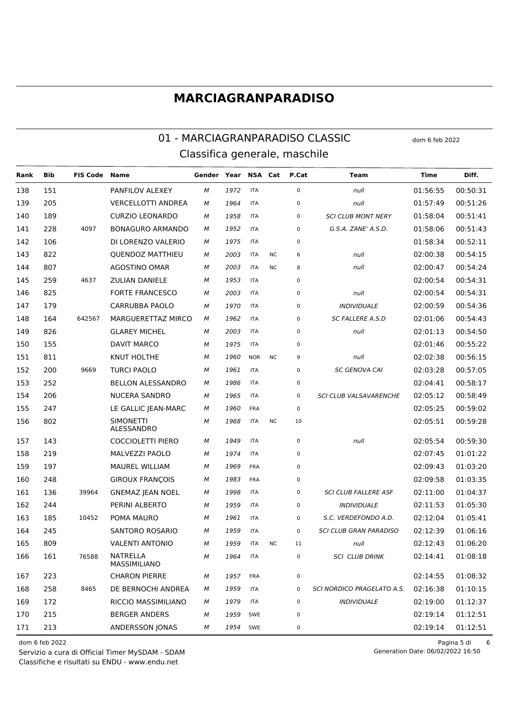#### 01 - MARCIAGRANPARADISO CLASSIC Classifica generale, maschile

**FIS Code Name** Gender Year NSA Cat P.Cat Diff. Rank **Bib Team Time** 138 151 PANFILOV ALEXEY **ITA**  $\Omega$  $01.56.55$ 00:50:31 1972 M null 205 00:51:26 139 **VERCELLOTTI ANDREA** M 1964 **ITA**  $\Omega$ null  $01.57.49$ 140 **CURZIO LEONARDO** 00:51:41 189 M 1958 **ITA**  $\Omega$ **SCI CLUB MONT NERY** 01:58:04 141  $228$ 4097 **BONAGURO ARMANDO ITA**  $01.58.06$ 00:51:43  $\Omega$ G.S.A. ZANE' A.S.D. M 1952 106 00:52:11 142 DI LORENZO VALERIO  ${\cal M}$ 1975 **ITA**  $\Omega$  $01.58.34$ 00:54:15 143 822 **QUENDOZ MATTHIEU** 2003 **ITA**  $NC$ 6 02:00:38 M  $null$ 144 807 AGOSTINO OMAR  $02.00.47$ 00:54:24 2003 **ITA** N<sub>C</sub> 8 M null 145 259 4637 **ZULIAN DANIELE** M 1953 **ITA**  $\Omega$ 02:00:54 00:54:31 146 825 **FORTE FRANCESCO** M 2003 **ITA**  $\Omega$ null 02:00:54 00:54:31 147 179 CARRURRA PAOLO **ITA**  $02.00.59$ 00:54:36  $\Omega$ **INDIVIDUALE** M 1970 148 164 642567 **MARGUERETTAZ MIRCO** M 1962 **ITA**  $\Omega$ **SC FALLERE A.S.D** 02:01:06 00:54:43 149 826 **GLAREY MICHEL** 2003 **ITA**  $\overline{0}$ 02:01:13 00:54:50 M null  $150$ 155 DAVIT MARCO 02:01:46 00:55:22 **ITA**  $\Omega$ M 1075 151 811 **KNUT HOLTHE** M 1960 **NOR**  $NC$  $\circ$ 02:02:38 00:56:15 null 152 200 9669 **TURCI PAOLO** 1961 **ITA**  $\Omega$ **SC GENOVA CAI** 02:03:28 00:57:05 M  $153$ **BELLON ALESSANDRO** 252 **ITA**  $\Omega$  $02.04.41$  $00.58.17$ M 1986 154 206 NUCERA SANDRO M 1965 **ITA**  $\Omega$ SCI CLUB VALSAVARENCHE 02:05:12 00:58:49 155 247 LE GALLIC IEAN-MARC 1960 FRA  $\Omega$ 02:05:25 00:59:02 M **SIMONFTTI** 156 802 02:05:51 00:59:28 M 1968 **ITA**  $\overline{M}$  $10$ ALESSANDRO 157 143 **COCCIOLETTI PIERO** M 1949 **ITA**  $\pmb{0}$ null 02:05:54 00:59:30 158 219 MALVEZZI PAOLO M 1974 **ITA**  $\Omega$ 02:07:45 01:01:22 02:09:43 **MAUREL WILLIAM** 1969  $01:03:20$ 159 197 M **FRA**  $\Omega$ 160 248 **GIROUX FRANCOIS** M 1983 FRA  $\mathbf 0$ 02:09:58 01:03:35 39964 **SCI CLUB FALLERE ASF** 161 136 **GNEMAZ IEAN NOEL** M 1998 **ITA**  $\Omega$ 02:11:00 01:04:37 **INDIVIDUALE** PERINI ALBERTO 1959 162  $244$  $\overline{M}$ **ITA**  $\Omega$  $02.11.53$  $01.05.30$ 163 185 10452 POMA MAURO M 1961 **ITA**  $\Omega$ S.C. VERDEFONDO A.D. 02:12:04 01:05:41 **SCI CLUB GRAN PARADISO** 164 245 **SANTORO ROSARIO** M 1959 **ITA**  $\mathbf{0}$ 02:12:39  $01:06:16$ 165 809 **VAI FNTI ANTONIO**  $\overline{M}$ 1959 **ITA**  $\mathsf{N} \mathsf{C}$  $11$  $n||$  $02:12:43$ 01:06:20 **NATRELLA** 166 161 76588  $\overline{M}$ 1964 **ITA**  $\overline{0}$ **SCI CLUB DRINK** 02:14:41  $01:08:18$ MASSIMILIANO 1957 167 223 **CHARON PIERRE** M FRA  $\mathbf 0$ 02:14:55 01:08:32 168 258 8465 DE BERNOCHI ANDREA M 1959 **ITA**  $\Omega$ SCLNORDICO PRAGELATO A S 02:16:38  $01:10:15$ 169 172 RICCIO MASSIMILIANO M 1979 **ITA**  $\mathbf 0$ **INDIVIDUALE** 02:19:00 01:12:37 170 215 **BERGER ANDERS** M 1959 SWE  $\overline{0}$ 02:19:14 01:12:51 171 213 ANDERSSON JONAS M 1954 02:19:14 **SWF**  $\Omega$ 01:12:51

dom 6 feb 2022

Servizio a cura di Official Timer MySDAM - SDAM Classifiche e risultati su ENDU - www.endu.net

Pagina 5 di  $6\phantom{1}$ Generation Date: 06/02/2022 16:50

dom 6 feb 2022